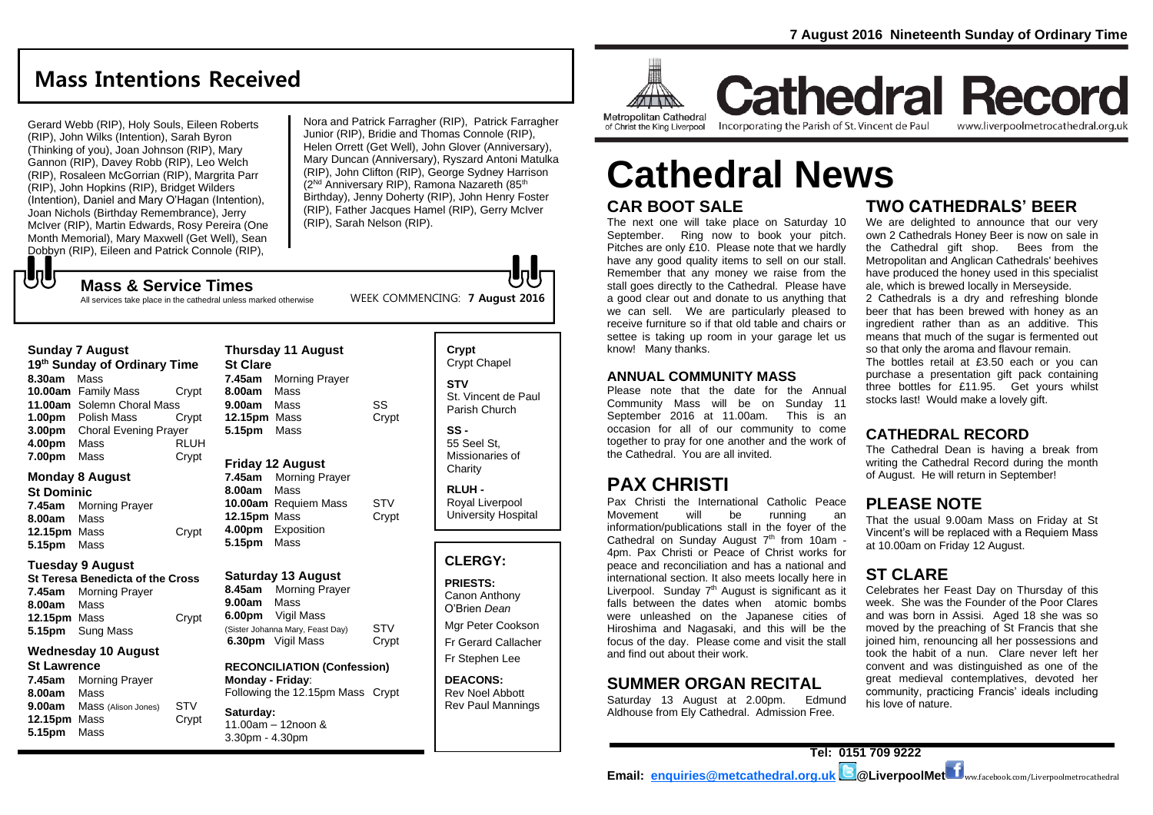# **Mass Intentions Received**

Gerard Webb (RIP), Holy Souls, Eileen Roberts (RIP), John Wilks (Intention), Sarah Byron (Thinking of you), Joan Johnson (RIP), Mary Gannon (RIP), Davey Robb (RIP), Leo Welch (RIP), Rosaleen McGorrian (RIP), Margrita Parr (RIP), John Hopkins (RIP), Bridget Wilders (Intention), Daniel and Mary O'Hagan (Intention), Joan Nichols (Birthday Remembrance), Jerry McIver (RIP), Martin Edwards, Rosy Pereira (One Month Memorial), Mary Maxwell (Get Well), Sean Dobbyn (RIP), Eileen and Patrick Connole (RIP),

Nora and Patrick Farragher (RIP), Patrick Farragher Junior (RIP), Bridie and Thomas Connole (RIP), Helen Orrett (Get Well), John Glover (Anniversary), Mary Duncan (Anniversary), Ryszard Antoni Matulka (RIP), John Clifton (RIP), George Sydney Harrison (2Nd Anniversary RIP), Ramona Nazareth (85th Birthday), Jenny Doherty (RIP), John Henry Foster (RIP), Father Jacques Hamel (RIP), Gerry McIver (RIP), Sarah Nelson (RIP).

WEEK COMMENCING: **7 August 2016**

All services take place in the cathedral unless marked otherwise

**Mass & Service Times**

**Sunday 7 August** 

**Monday 8 August St Dominic**

**8.00am** Mass

**5.15pm** Mass

**8.00am** Mass

**St Lawrence**

**8.00am** Mass

**5.15pm** Mass

**5.15pm** Sung Mass

**8.30am** Mass

もし

#### **19th Sunday of Ordinary Time 10.00am** Family Mass Crypt **11.00am** Solemn Choral Mass **1.00pm** Polish Mass Crypt **3.00pm** Choral Evening Prayer **4.00pm** Mass RLUH **7.00pm** Mass Crypt **7.45am** Morning Prayer **12.15pm** Mass Crypt **Tuesday 9 August St Teresa Benedicta of the Cross 7.45am** Morning Prayer **12.15pm** Mass Crypt **Wednesday 10 August 7.45am** Morning Prayer **9.00am** Mass (Alison Jones) STV **12.15pm** Mass Crypt **Thursday 11 August St Clare 7.45am** Morning Prayer **8.00am** Mass **9.00am** Mass SS **12.15pm** Mass Crypt **5.15pm** Mass **Friday 12 August 7.45am** Morning Prayer **8.00am** Mass **10.00am** Requiem Mass STV **12.15pm** Mass Crypt **4.00pm** Exposition **5.15pm** Mass **Saturday 13 August 8.45am** Morning Prayer **9.00am** Mass **6.00pm** Vigil Mass (Sister Johanna Mary, Feast Day) STV **6.30pm** Vigil Mass Crypt **RECONCILIATION (Confession) Monday - Friday**: Following the 12.15pm Mass Crypt **Saturday:** 11.00am – 12noon &

3.30pm - 4.30pm

**Crypt**  Crypt Chapel **STV** St. Vincent de Paul Parish Church **SS -** 55 Seel St, Missionaries of **Charity** 

**RLUH -** Royal Liverpool University Hospital

#### **CLERGY:**

**PRIESTS:** Canon Anthony O'Brien *Dean*

Mgr Peter Cookson Fr Gerard Callacher Fr Stephen Lee

**DEACONS:** Rev Noel Abbott Rev Paul Mannings



Metropolitan Cathedral of Christ the King Liverpool

Incorporating the Parish of St. Vincent de Paul www.liverpoolmetrocathedral.org.uk

**Cathedral Record** 

# **CAR BOOT SALE Cathedral News**

The next one will take place on Saturday 10 September. Ring now to book your pitch. Pitches are only £10. Please note that we hardly have any good quality items to sell on our stall. Remember that any money we raise from the stall goes directly to the Cathedral. Please have a good clear out and donate to us anything that we can sell. We are particularly pleased to receive furniture so if that old table and chairs or settee is taking up room in your garage let us know! Many thanks.

#### **ANNUAL COMMUNITY MASS**

Please note that the date for the Annual Community Mass will be on Sunday 11 September 2016 at 11.00am. This is an occasion for all of our community to come together to pray for one another and the work of the Cathedral. You are all invited.

# **PAX CHRISTI**

Pax Christi the International Catholic Peace Movement will be running an information/publications stall in the foyer of the Cathedral on Sunday August  $7<sup>th</sup>$  from 10am -4pm. Pax Christi or Peace of Christ works for peace and reconciliation and has a national and international section. It also meets locally here in Liverpool. Sunday  $7<sup>th</sup>$  August is significant as it falls between the dates when atomic bombs were unleashed on the Japanese cities of Hiroshima and Nagasaki, and this will be the focus of the day. Please come and visit the stall and find out about their work.

## **SUMMER ORGAN RECITAL**

Saturday 13 August at 2.00pm. Edmund Aldhouse from Ely Cathedral. Admission Free.

## **TWO CATHEDRALS' BEER**

We are delighted to announce that our very own 2 Cathedrals Honey Beer is now on sale in the Cathedral gift shop. Bees from the Metropolitan and Anglican Cathedrals' beehives have produced the honey used in this specialist ale, which is brewed locally in Merseyside.

2 Cathedrals is a dry and refreshing blonde beer that has been brewed with honey as an ingredient rather than as an additive. This means that much of the sugar is fermented out so that only the aroma and flavour remain.

The bottles retail at £3.50 each or you can purchase a presentation gift pack containing three bottles for £11.95. Get yours whilst stocks last! Would make a lovely gift.

### **CATHEDRAL RECORD**

The Cathedral Dean is having a break from writing the Cathedral Record during the month of August. He will return in September!

## **PLEASE NOTE**

That the usual 9.00am Mass on Friday at St Vincent's will be replaced with a Requiem Mass at 10.00am on Friday 12 August.

## **ST CLARE**

Celebrates her Feast Day on Thursday of this week. She was the Founder of the Poor Clares and was born in Assisi. Aged 18 she was so moved by the preaching of St Francis that she joined him, renouncing all her possessions and took the habit of a nun. Clare never left her convent and was distinguished as one of the great medieval contemplatives, devoted her community, practicing Francis' ideals including his love of nature.